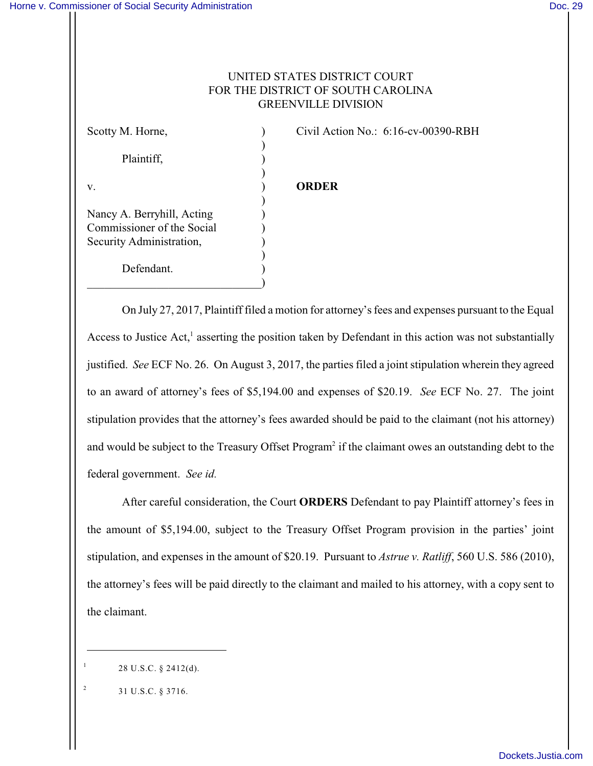## UNITED STATES DISTRICT COURT FOR THE DISTRICT OF SOUTH CAROLINA GREENVILLE DIVISION

) Plaintiff, (a) ) v. ) **ORDER** ) Nancy A. Berryhill, Acting ) Commissioner of the Social ) Security Administration, ) ) Defendant.

 $\qquad \qquad \Box$ 

Scotty M. Horne, (a) Civil Action No.: 6:16-cv-00390-RBH

On July 27, 2017, Plaintiff filed a motion for attorney's fees and expenses pursuant to the Equal Access to Justice Act,<sup>1</sup> asserting the position taken by Defendant in this action was not substantially justified. *See* ECF No. 26. On August 3, 2017, the parties filed a joint stipulation wherein they agreed to an award of attorney's fees of \$5,194.00 and expenses of \$20.19. *See* ECF No. 27. The joint stipulation provides that the attorney's fees awarded should be paid to the claimant (not his attorney) and would be subject to the Treasury Offset Program<sup>2</sup> if the claimant owes an outstanding debt to the federal government. *See id.*

After careful consideration, the Court **ORDERS** Defendant to pay Plaintiff attorney's fees in the amount of \$5,194.00, subject to the Treasury Offset Program provision in the parties' joint stipulation, and expenses in the amount of \$20.19. Pursuant to *Astrue v. Ratliff*, 560 U.S. 586 (2010), the attorney's fees will be paid directly to the claimant and mailed to his attorney, with a copy sent to the claimant.

1

<sup>28</sup> U.S.C. § 2412(d).

<sup>31</sup> U.S.C. § 3716. 2